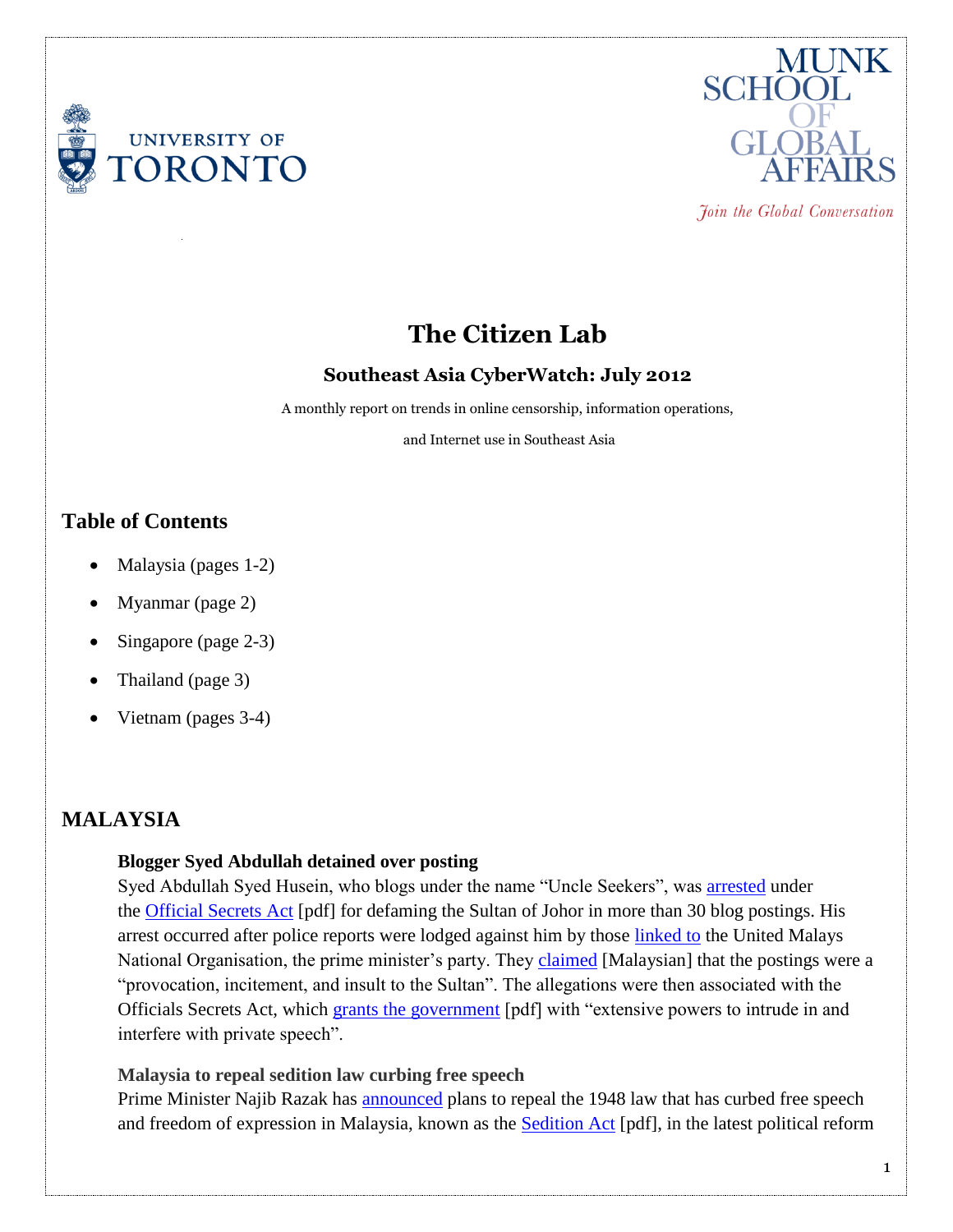



Join the Global Conversation

# **The Citizen Lab**

### **Southeast Asia CyberWatch: July 2012**

A monthly report on trends in online censorship, information operations,

and Internet use in Southeast Asia

## **Table of Contents**

- Malaysia (pages 1-2)
- Myanmar (page 2)
- Singapore (page 2-3)
- Thailand (page 3)
- Vietnam (pages 3-4)

## **MALAYSIA**

#### **Blogger Syed Abdullah detained over posting**

Syed Abdullah Syed Husein, who blogs under the name "Uncle Seekers", was [arrested](http://www.bikyamasr.com/71910/malaysia-blogger-held-under-draconian-official-secrets-act/) under the [Official Secrets Act](http://www.agc.gov.my/Akta/Vol.%202/Act%2088.pdf) [pdf] for defaming the Sultan of Johor in more than 30 blog postings. His arrest occurred after police reports were lodged against him by those [linked to](http://www.malaysia-chronicle.com/index.php?option=com_k2&view=item&id=35978:more-royalty-linked-trouble-stirred-in-johor-blogger-uncle-seekers-arrested&Itemid=2) the United Malays National Organisation, the prime minister's party. They [claimed](http://www.bernama.com/bernama/state_news/bm/news.php?id=678175&cat=sl) [Malaysian] that the postings were a "provocation, incitement, and insult to the Sultan". The allegations were then associated with the Officials Secrets Act, which [grants the government](http://www.article19.org/data/files/pdfs/analysis/malaysia-official-secrets-act-sept-2004.pdf) [pdf] with "extensive powers to intrude in and interfere with private speech".

### **Malaysia to repeal sedition law curbing free speech**

Prime Minister Najib Razak has [announced](http://www.guardian.co.uk/world/2012/jul/12/malaysia-repeal-repressive-sedition-law) plans to repeal the 1948 law that has curbed free speech and freedom of expression in Malaysia, known as the **[Sedition Act](http://www.agc.gov.my/Akta/Vol.%201/Act%2015.pdf)** [pdf], in the latest political reform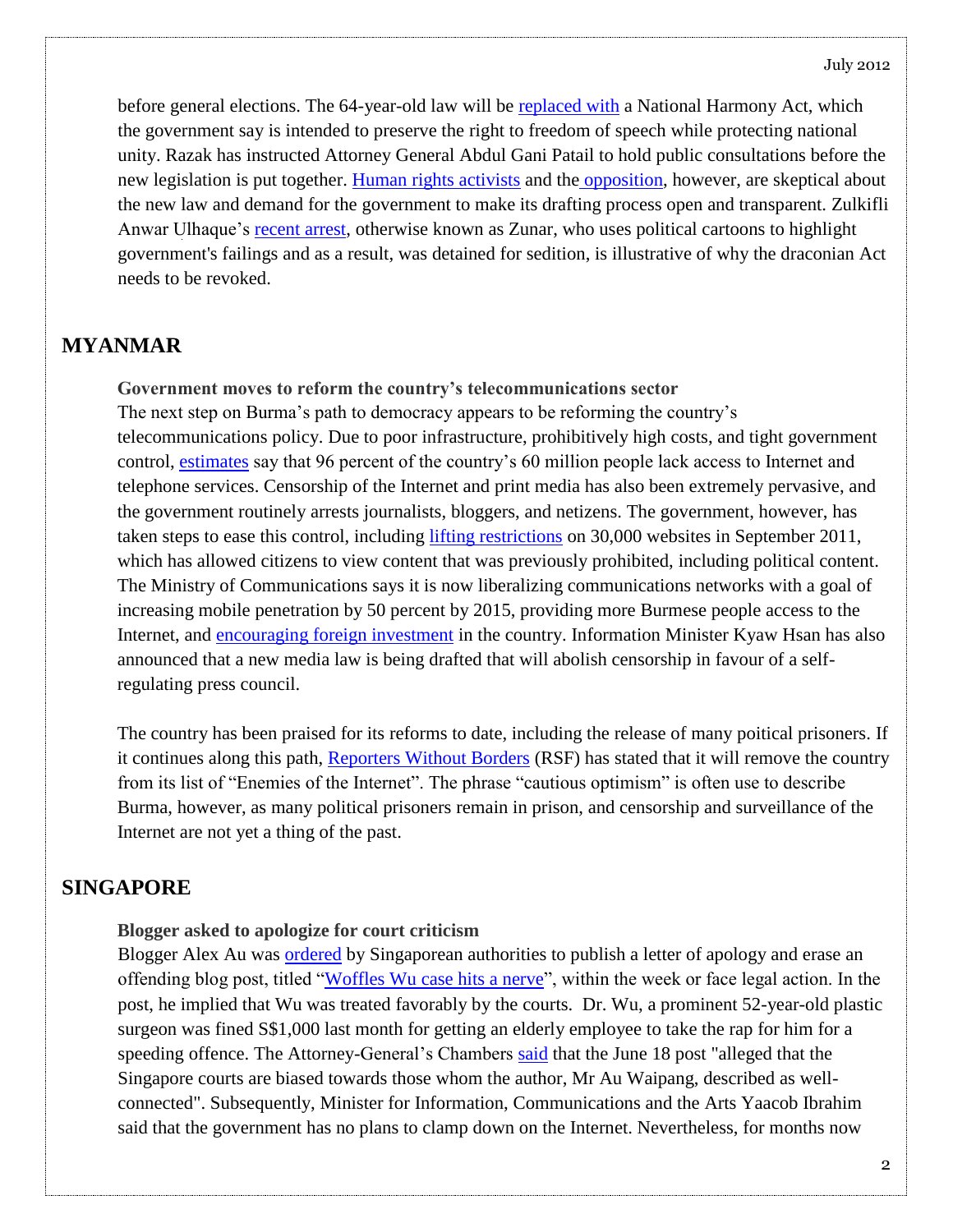before general elections. The 64-year-old law will be [replaced with](http://www.freemalaysiatoday.com/category/nation/2012/07/11/najib-repeals-sedition-act/) a National Harmony Act, which the government say is intended to preserve the right to freedom of speech while protecting national unity. Razak has instructed Attorney General Abdul Gani Patail to hold public consultations before the new legislation is put together. [Human rights activists](http://www.abc.net.au/news/2012-07-12/an-malaysia-sedition/4126302) and the [opposition,](http://www.themalaysianinsider.com/malaysia/article/dont-repackage-sedition-act-pkr-mp-tells-najib/) however, are skeptical about the new law and demand for the government to make its drafting process open and transparent. Zulkifli Anwar Ulhaque's [recent arrest,](http://www.hrw.org/news/2012/07/31/malaysia-cartoonist-case-tests-freedoms) otherwise known as Zunar, who uses political cartoons to highlight government's failings and as a result, was detained for sedition, is illustrative of why the draconian Act needs to be revoked.

## **MYANMAR**

**Government moves to reform the country's telecommunications sector** The next step on Burma's path to democracy appears to be reforming the country's telecommunications policy. Due to poor infrastructure, prohibitively high costs, and tight government control, [estimates](http://www.mizzima.com/business/7511-burmese-govt-to-let-foreign-firms-into-telephone-internet-market.html) say that 96 percent of the country's 60 million people lack access to Internet and telephone services. Censorship of the Internet and print media has also been extremely pervasive, and the government routinely arrests journalists, bloggers, and netizens. The government, however, has taken steps to ease this control, including [lifting restrictions](http://www.bbc.co.uk/news/world-asia-pacific-18814045) on 30,000 websites in September 2011, which has allowed citizens to view content that was previously prohibited, including political content. The Ministry of Communications says it is now liberalizing communications networks with a goal of increasing mobile penetration by 50 percent by 2015, providing more Burmese people access to the Internet, and [encouraging foreign investment](http://www.dvb.no/news/burma-calls-for-investment-in-telecom-sector/22854) in the country. Information Minister Kyaw Hsan has also announced that a new media law is being drafted that will abolish censorship in favour of a selfregulating press council.

The country has been praised for its reforms to date, including the release of many poitical prisoners. If it continues along this path, [Reporters Without Borders](http://en.rsf.org/burma-burma-12-03-2012,42076.html) (RSF) has stated that it will remove the country from its list of "Enemies of the Internet". The phrase "cautious optimism" is often use to describe Burma, however, as many political prisoners remain in prison, and censorship and surveillance of the Internet are not yet a thing of the past.

## **SINGAPORE**

#### **Blogger asked to apologize for court criticism**

Blogger Alex Au was [ordered](http://www.asiaone.com/News/Latest%2BNews/Science%2Band%2BTech/Story/A1Story20120714-359089.html) by Singaporean authorities to publish a letter of apology and erase an offending blog post, titled ["Woffles Wu case hits a nerve"](http://yawningbread.wordpress.com/2012/06/18/woffles-wu-case-hits-a-nerve/), within the week or face legal action. In the post, he implied that Wu was treated favorably by the courts. Dr. Wu, a prominent 52-year-old plastic surgeon was fined S\$1,000 last month for getting an elderly employee to take the rap for him for a speeding offence. The Attorney-General's Chambers [said](http://www.asiaone.com/News/Latest%2BNews/Science%2Band%2BTech/Story/A1Story20120714-359089.html) that the June 18 post "alleged that the Singapore courts are biased towards those whom the author, Mr Au Waipang, described as wellconnected". Subsequently, Minister for Information, Communications and the Arts Yaacob Ibrahim said that the government has no plans to clamp down on the Internet. Nevertheless, for months now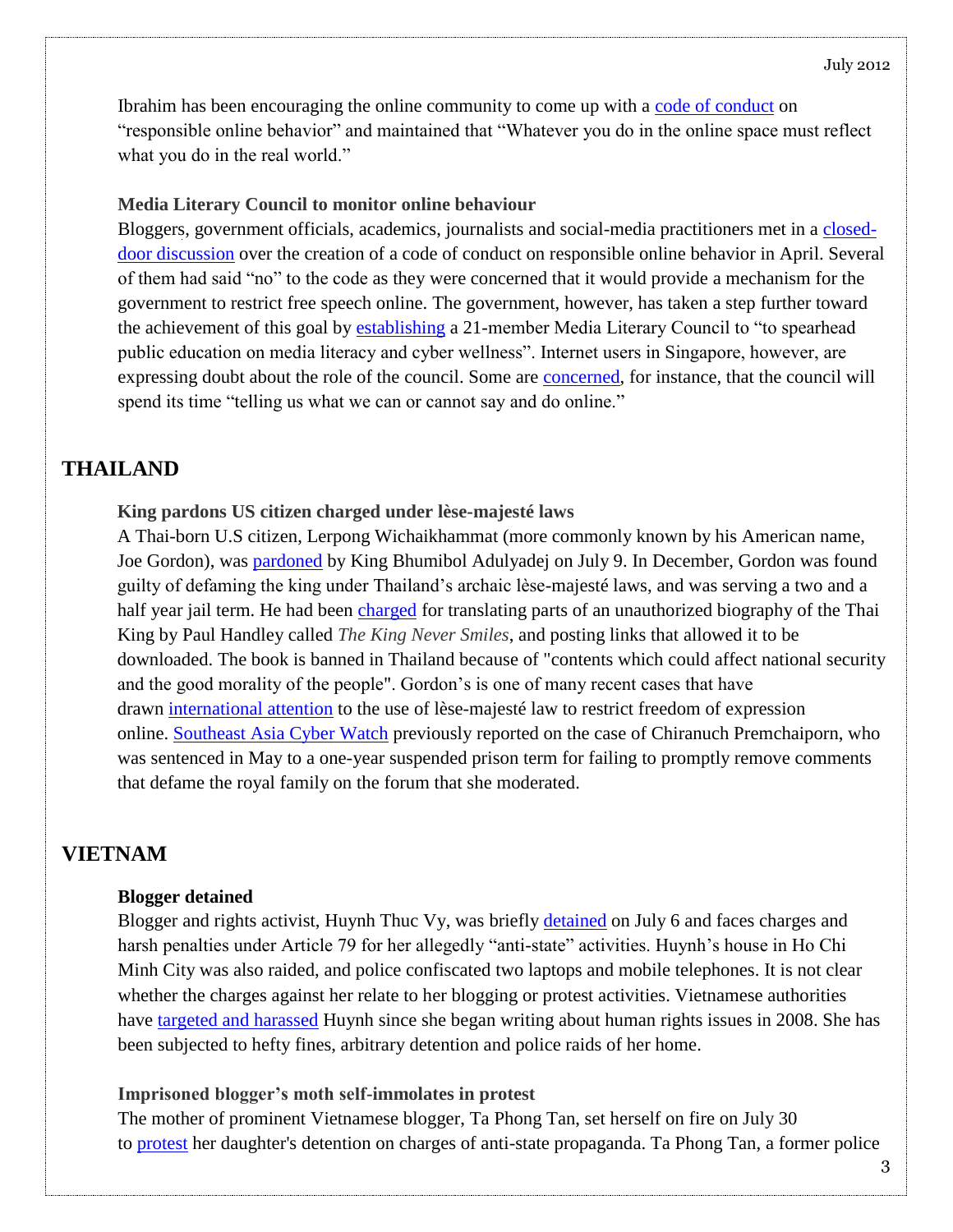Ibrahim has been encouraging the online community to come up with a [code of conduct](http://news.asiaone.com/News/Latest%2BNews/Science%2Band%2BTech/Story/A1Story20120716-359283.html) on "responsible online behavior" and maintained that "Whatever you do in the online space must reflect what you do in the real world."

#### **Media Literary Council to monitor online behaviour**

Bloggers, government officials, academics, journalists and social-media practitioners met in a [closed](http://news.asiaone.com/News/Latest%2BNews/Science%2Band%2BTech/Story/A1Story20120716-359283.html)[door discussion](http://news.asiaone.com/News/Latest%2BNews/Science%2Band%2BTech/Story/A1Story20120716-359283.html) over the creation of a code of conduct on responsible online behavior in April. Several of them had said "no" to the code as they were concerned that it would provide a mechanism for the government to restrict free speech online. The government, however, has taken a step further toward the achievement of this goal by [establishing](http://www.mda.gov.sg/NewsAndEvents/PressRelease/2012/Pages/31072012.aspx) a 21-member Media Literary Council to "to spearhead public education on media literacy and cyber wellness". Internet users in Singapore, however, are expressing doubt about the role of the council. Some are [concerned,](http://seayouthsayso.com/does-singapores-media-literacy-council-have-anything-to-do-with-media-literacy) for instance, that the council will spend its time "telling us what we can or cannot say and do online."

### **THAILAND**

#### **King pardons US citizen charged under lèse-majesté laws**

A Thai-born U.S citizen, Lerpong Wichaikhammat (more commonly known by his American name, Joe Gordon), was [pardoned](http://www.guardian.co.uk/world/2012/jul/11/thai-king-pardons-american-insulting) by King Bhumibol Adulyadej on July 9. In December, Gordon was found guilty of defaming the king under Thailand's archaic lèse-majesté laws, and was serving a two and a half year jail term. He had been [charged](https://thaipoliticalprisoners.wordpress.com/decidedcases/joseph-gordon/) for translating parts of an unauthorized biography of the Thai King by Paul Handley called *The King Never Smiles*, and posting links that allowed it to be downloaded. The book is banned in Thailand because of "contents which could affect national security and the good morality of the people". Gordon's is one of many recent cases that have drawn [international attention](https://www.nytimes.com/2012/07/12/world/asia/pardon-for-american-convicted-of-insulting-thai-king.html) to the use of lèse-majesté law to restrict freedom of expression online. [Southeast Asia Cyber Watch](https://citizenlab.org/2012/06/southeast-asia-cyber-watch-issue-1/) previously reported on the case of Chiranuch Premchaiporn, who was sentenced in May to a one-year suspended prison term for failing to promptly remove comments that defame the royal family on the forum that she moderated.

### **VIETNAM**

#### **Blogger detained**

Blogger and rights activist, Huynh Thuc Vy, was briefly [detained](http://advocacy.globalvoicesonline.org/2012/07/11/netizenreport-blackout/) on July 6 and faces charges and harsh penalties under Article 79 for her allegedly "anti-state" activities. Huynh's house in Ho Chi Minh City was also raided, and police confiscated two laptops and mobile telephones. It is not clear whether the charges against her relate to her blogging or protest activities. Vietnamese authorities have [targeted and harassed](https://www.cpj.org/2012/07/blogger-harassed-briefly-detained-by-police-in-vie.php) Huynh since she began writing about human rights issues in 2008. She has been subjected to hefty fines, arbitrary detention and police raids of her home.

#### **Imprisoned blogger's moth self-immolates in protest**

The mother of prominent Vietnamese blogger, Ta Phong Tan, set herself on fire on July 30 to [protest](http://www.rfa.org/english/news/vietnam/selfimmolation-07302012130922.html) her daughter's detention on charges of anti-state propaganda. Ta Phong Tan, a former police